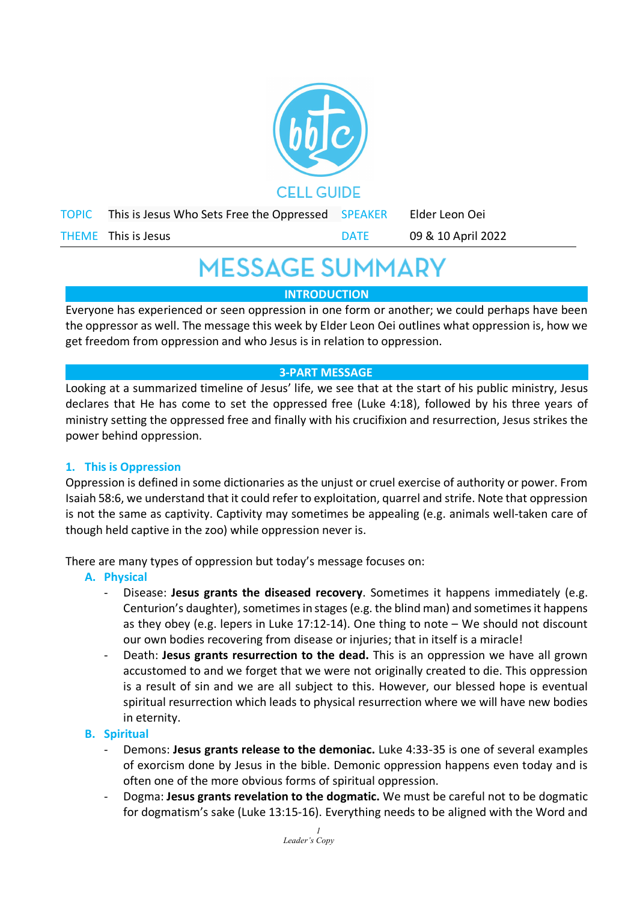

# **MESSAGE SUMMARY**

**INTRODUCTION**

Everyone has experienced or seen oppression in one form or another; we could perhaps have been the oppressor as well. The message this week by Elder Leon Oei outlines what oppression is, how we get freedom from oppression and who Jesus is in relation to oppression.

# **3-PART MESSAGE**

Looking at a summarized timeline of Jesus' life, we see that at the start of his public ministry, Jesus declares that He has come to set the oppressed free (Luke 4:18), followed by his three years of ministry setting the oppressed free and finally with his crucifixion and resurrection, Jesus strikes the power behind oppression.

# **1. This is Oppression**

Oppression is defined in some dictionaries as the unjust or cruel exercise of authority or power. From Isaiah 58:6, we understand that it could refer to exploitation, quarrel and strife. Note that oppression is not the same as captivity. Captivity may sometimes be appealing (e.g. animals well-taken care of though held captive in the zoo) while oppression never is.

There are many types of oppression but today's message focuses on:

- **A. Physical**
	- Disease: **Jesus grants the diseased recovery**. Sometimes it happens immediately (e.g. Centurion's daughter), sometimes in stages (e.g. the blind man) and sometimesit happens as they obey (e.g. lepers in Luke 17:12-14). One thing to note – We should not discount our own bodies recovering from disease or injuries; that in itself is a miracle!
	- Death: **Jesus grants resurrection to the dead.** This is an oppression we have all grown accustomed to and we forget that we were not originally created to die. This oppression is a result of sin and we are all subject to this. However, our blessed hope is eventual spiritual resurrection which leads to physical resurrection where we will have new bodies in eternity.

# **B. Spiritual**

- Demons: **Jesus grants release to the demoniac.** Luke 4:33-35 is one of several examples of exorcism done by Jesus in the bible. Demonic oppression happens even today and is often one of the more obvious forms of spiritual oppression.
- Dogma: **Jesus grants revelation to the dogmatic.** We must be careful not to be dogmatic for dogmatism's sake (Luke 13:15-16). Everything needs to be aligned with the Word and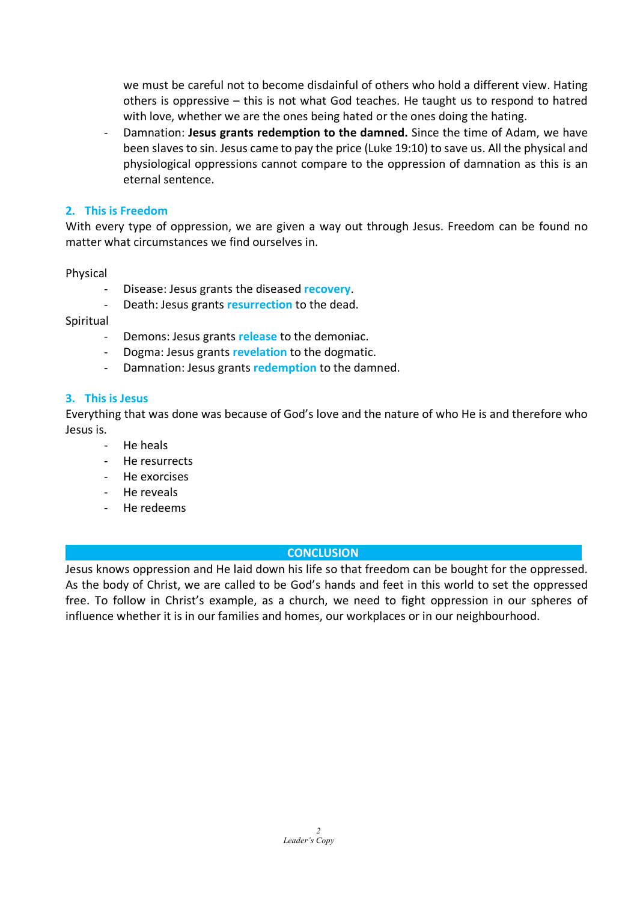we must be careful not to become disdainful of others who hold a different view. Hating others is oppressive – this is not what God teaches. He taught us to respond to hatred with love, whether we are the ones being hated or the ones doing the hating.

- Damnation: **Jesus grants redemption to the damned.** Since the time of Adam, we have been slaves to sin. Jesus came to pay the price (Luke 19:10) to save us. All the physical and physiological oppressions cannot compare to the oppression of damnation as this is an eternal sentence.

#### **2. This is Freedom**

With every type of oppression, we are given a way out through Jesus. Freedom can be found no matter what circumstances we find ourselves in.

#### Physical

- Disease: Jesus grants the diseased **recovery**.
- Death: Jesus grants **resurrection** to the dead.

#### Spiritual

- Demons: Jesus grants **release** to the demoniac.
- Dogma: Jesus grants **revelation** to the dogmatic.
- Damnation: Jesus grants **redemption** to the damned.

#### **3. This is Jesus**

Everything that was done was because of God's love and the nature of who He is and therefore who Jesus is.

- He heals
- He resurrects
- He exorcises
- He reveals
- He redeems

# **CONCLUSION**

Jesus knows oppression and He laid down his life so that freedom can be bought for the oppressed. As the body of Christ, we are called to be God's hands and feet in this world to set the oppressed free. To follow in Christ's example, as a church, we need to fight oppression in our spheres of influence whether it is in our families and homes, our workplaces or in our neighbourhood.